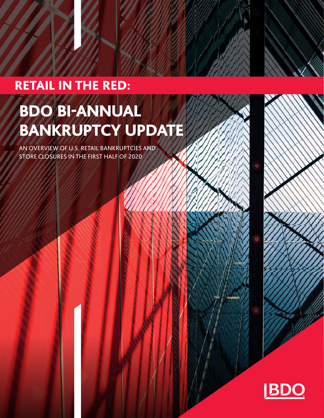# **RETAIL IN THE RED:**

# BDO BI-ANNUAL BANKRUPTCY UPDATE

AN OVERVIEW OF U.S. RETAIL BANKRUPTCIES AND STORE CLOSURES IN THE FIRST HALF OF 2020

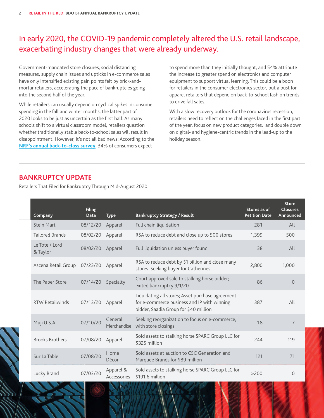# In early 2020, the COVID-19 pandemic completely altered the U.S. retail landscape, exacerbating industry changes that were already underway.

Government-mandated store closures, social distancing measures, supply chain issues and upticks in e-commerce sales have only intensified existing pain points felt by brick-andmortar retailers, accelerating the pace of bankruptcies going into the second half of the year.

While retailers can usually depend on cyclical spikes in consumer spending in the fall and winter months, the latter part of 2020 looks to be just as uncertain as the first half. As many schools shift to a virtual classroom model, retailers question whether traditionally stable back-to-school sales will result in disappointment. However, it's not all bad news: According to the **[NRF's annual back-to-class survey](https://nrf.com/media-center/press-releases/parents-spend-even-more-computers-and-desks-expectations-online-classes)**, 34% of consumers expect

to spend more than they initially thought, and 54% attribute the increase to greater spend on electronics and computer equipment to support virtual learning. This could be a boon for retailers in the consumer electronics sector, but a bust for apparel retailers that depend on back-to-school fashion trends to drive fall sales.

With a slow recovery outlook for the coronavirus recession, retailers need to reflect on the challenges faced in the first part of the year, focus on new product categories, and double down on digital- and hygiene-centric trends in the lead-up to the holiday season.

#### **BANKRUPTCY UPDATE**

Retailers That Filed for Bankruptcy Through Mid-August 2020

| Company                    | <b>Filing</b><br><b>Data</b> | <b>Type</b>              | <b>Bankruptcy Strategy / Result</b>                                                                                                      | Stores as of<br><b>Petition Date</b> | <b>Store</b><br><b>Closures</b><br>Announced |
|----------------------------|------------------------------|--------------------------|------------------------------------------------------------------------------------------------------------------------------------------|--------------------------------------|----------------------------------------------|
| <b>Stein Mart</b>          | 08/12/20                     | Apparel                  | Full chain liquidation                                                                                                                   | 281                                  | All                                          |
| <b>Tailored Brands</b>     | 08/02/20                     | Apparel                  | RSA to reduce debt and close up to 500 stores                                                                                            | 1.399                                | 500                                          |
| Le Tote / Lord<br>& Taylor | 08/02/20                     | Apparel                  | Full liquidation unless buyer found                                                                                                      | 38                                   | All                                          |
| Ascena Retail Group        | 07/23/20                     | Apparel                  | RSA to reduce debt by \$1 billion and close many<br>stores. Seeking buyer for Catherines                                                 | 2.800                                | 1,000                                        |
| The Paper Store            | 07/14/20                     | Specialty                | Court approved sale to stalking horse bidder;<br>exited bankruptcy 9/1/20                                                                | 86                                   | $\Omega$                                     |
| RTW Retailwinds            | 07/13/20                     | Apparel                  | Liquidating all stores; Asset purchase agreement<br>for e-commerce business and IP with winning<br>bidder, Saadia Group for \$40 million | 387                                  | All                                          |
| Muji U.S.A.                | 07/10/20                     | General<br>Merchandise   | Seeking reorganization to focus on e-commerce,<br>with store closings                                                                    | 18                                   | $\overline{7}$                               |
| <b>Brooks Brothers</b>     | 07/08/20                     | Apparel                  | Sold assets to stalking horse SPARC Group LLC for<br>\$325 million                                                                       | 244                                  | 119                                          |
| Sur La Table               | 07/08/20                     | Home<br>Décor            | Sold assets at auction to CSC Generation and<br>Marquee Brands for \$89 million                                                          | 121                                  | 71                                           |
| Lucky Brand                | 07/03/20                     | Apparel &<br>Accessories | Sold assets to stalking horse SPARC Group LLC for<br>\$191.6 million                                                                     | >200                                 | $\Omega$                                     |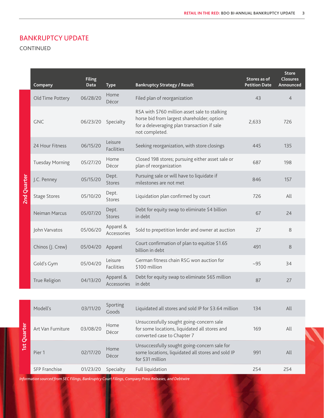#### BANKRUPTCY UPDATE

CONTINUED

|             | Company                | <b>Filing</b><br>Data | <b>Type</b>                  | <b>Bankruptcy Strategy / Result</b>                                                                                                                          | Stores as of<br><b>Petition Date</b> | <b>Store</b><br><b>Closures</b><br>Announced |
|-------------|------------------------|-----------------------|------------------------------|--------------------------------------------------------------------------------------------------------------------------------------------------------------|--------------------------------------|----------------------------------------------|
| 2nd Quarter | Old Time Pottery       | 06/28/20              | Home<br>Décor                | Filed plan of reorganization                                                                                                                                 | 43                                   | $\overline{4}$                               |
|             | <b>GNC</b>             | 06/23/20              | Specialty                    | RSA with \$760 million asset sale to stalking<br>horse bid from largest shareholder; option<br>for a deleveraging plan transaction if sale<br>not completed. | 2,633                                | 726                                          |
|             | 24 Hour Fitness        | 06/15/20              | Leisure<br><b>Facilities</b> | Seeking reorganization, with store closings                                                                                                                  | 445                                  | 135                                          |
|             | <b>Tuesday Morning</b> | 05/27/20              | Home<br>Décor                | Closed 198 stores; pursuing either asset sale or<br>plan of reorganization                                                                                   | 687                                  | 198                                          |
|             | J.C. Penney            | 05/15/20              | Dept.<br>Stores              | Pursuing sale or will have to liquidate if<br>milestones are not met                                                                                         | 846                                  | 157                                          |
|             | <b>Stage Stores</b>    | 05/10/20              | Dept.<br>Stores              | Liquidation plan confirmed by court                                                                                                                          | 726                                  | All                                          |
|             | Neiman Marcus          | 05/07/20              | Dept.<br>Stores              | Debt for equity swap to eliminate \$4 billion<br>in debt                                                                                                     | 67                                   | 24                                           |
|             | John Varvatos          | 05/06/20              | Apparel &<br>Accessories     | Sold to prepetition lender and owner at auction                                                                                                              | 27                                   | 8                                            |
|             | Chinos (J. Crew)       | 05/04/20              | Apparel                      | Court confirmation of plan to equitize \$1.65<br>billion in debt                                                                                             | 491                                  | 8                                            |
|             | Gold's Gym             | 05/04/20              | Leisure<br><b>Facilities</b> | German fitness chain RSG won auction for<br>\$100 million                                                                                                    | $-95$                                | 34                                           |
|             | True Religion          | 04/13/20              | Apparel &<br>Accessories     | Debt for equity swap to eliminate \$65 million<br>in debt                                                                                                    | 87                                   | 27                                           |
|             |                        |                       |                              |                                                                                                                                                              |                                      |                                              |
| 1st Quarter | Modell's               | 03/11/20              | Sporting<br>Goods            | Liquidated all stores and sold IP for \$3.64 million                                                                                                         | 134                                  | All                                          |
|             | Art Van Furniture      | 03/08/20              | Home<br>Décor                | Unsuccessfully sought going-concern sale<br>for some locations, liquidated all stores and<br>converted case to Chapter 7                                     | 169                                  | All                                          |
|             | Pier 1                 | 02/17/20              | Home<br>Décor                | Unsuccessfully sought going-concern sale for<br>some locations, liquidated all stores and sold IP<br>for \$31 million                                        | 991                                  | All                                          |
|             | SFP Franchise          | 01/23/20              | Specialty                    | Full liquidation                                                                                                                                             | 254                                  | 254                                          |

*Information sourced from SEC Filings, Bankruptcy Court Filings, Company Press Releases, and Debtwire*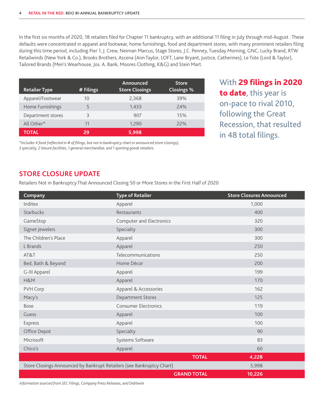In the first six months of 2020, 18 retailers filed for Chapter 11 bankruptcy, with an additional 11 filing in July through mid-August . These defaults were concentrated in apparel and footwear, home furnishings, food and department stores, with many prominent retailers filing during this time period, including Pier 1, J. Crew, Neiman Marcus, Stage Stores, J.C. Penney, Tuesday Morning, GNC, Lucky Brand, RTW Retailwinds (New York & Co.), Brooks Brothers, Ascena (Ann Taylor, LOFT, Lane Bryant, Justice, Catherines), Le Tote (Lord & Taylor), Tailored Brands (Men's Wearhouse, Jos. A. Bank, Moores Clothing, K&G) and Stein Mart.

| <b>Retailer Type</b> | # Filings | Announced<br><b>Store Closings</b> | <b>Store</b><br><b>Closings %</b> |
|----------------------|-----------|------------------------------------|-----------------------------------|
| Apparel/Footwear     | 10        | 2,368                              | 39%                               |
| Home Furnishings     |           | 1,433                              | 74%                               |
| Department stores    | 3         | 907                                | 15%                               |
| All Other*           | 11        | 1,290                              | 77%                               |
| <b>TOTAL</b>         | 29        | 5,998                              |                                   |

With 29 filings in 2020 to date, this year is on-pace to rival 2010, following the Great Recession, that resulted in 48 total filings.

*\*Includes 4 food (reflected in # of filings, but not in bankruptcy chart or announced store closings), 3 specialty, 2 leisure facilities, 1 general merchandise, and 1 sporting goods retailers.* 

#### **STORE CLOSURE UPDATE**

Retailers Not in Bankruptcy That Announced Closing 50 or More Stores in the First Half of 2020

| Company                                                               | <b>Type of Retailer</b>         | <b>Store Closures Announced</b> |
|-----------------------------------------------------------------------|---------------------------------|---------------------------------|
| Inditex                                                               | Apparel                         | 1,000                           |
| Starbucks                                                             | Restaurants                     | 400                             |
| GameStop                                                              | <b>Computer and Electronics</b> | 320                             |
| Signet Jewelers                                                       | Specialty                       | 300                             |
| The Children's Place                                                  | Apparel                         | 300                             |
| L Brands                                                              | Apparel                         | 250                             |
| AT&T                                                                  | Telecommunications              | 250                             |
| Bed, Bath & Beyond                                                    | Home Décor                      | 200                             |
| G-III Apparel                                                         | Apparel                         | 199                             |
| H&M                                                                   | Apparel                         | 170                             |
| PVH Corp                                                              | Apparel & Accessories           | 162                             |
| Macy's                                                                | <b>Department Stores</b>        | 125                             |
| Bose                                                                  | <b>Consumer Electronics</b>     | 119                             |
| Guess                                                                 | Apparel                         | 100                             |
| Express                                                               | Apparel                         | 100                             |
| Office Depot                                                          | Specialty                       | 90                              |
| Microsoft                                                             | Systems Software                | 83                              |
| Chico's                                                               | Apparel                         | 60                              |
|                                                                       | <b>TOTAL</b>                    | 4,228                           |
| Store Closings Announced by Bankrupt Retailers (see Bankruptcy Chart) | 5,998                           |                                 |
|                                                                       | <b>GRAND TOTAL</b>              | 10,226                          |

*Information sourced from SEC Filings, Company Press Releases, and Debtwire*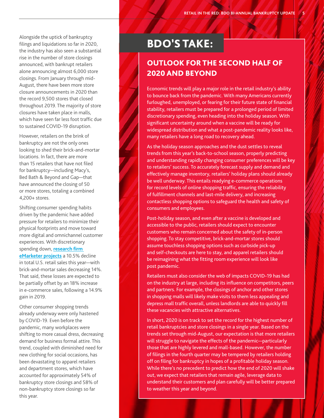Alongside the uptick of bankruptcy filings and liquidations so far in 2020, the industry has also seen a substantial rise in the number of store closings announced, with bankrupt retailers alone announcing almost 6,000 store closings. From January through mid-August, there have been more store closure announcements in 2020 than the record 9,500 stores that closed throughout 2019. The majority of store closures have taken place in malls, which have seen far less foot traffic due to sustained COVID-19 disruption.

However, retailers on the brink of bankruptcy are not the only ones looking to shed their brick-and-mortar locations. In fact, there are more than 15 retailers that have not filed for bankruptcy—including Macy's, Bed Bath & Beyond and Gap—that have announced the closing of 50 or more stores, totaling a combined 4,200+ stores.

Shifting consumer spending habits driven by the pandemic have added pressure for retailers to minimize their physical footprints and move toward more digital and omnichannel customer experiences. With discretionary spending down, **[research firm](https://www.emarketer.com/newsroom/index.php/us-retail-sales-to-drop-more-than-10-in-2020/#:~:text=According%20to%20eMarketer)  [eMarketer projects](https://www.emarketer.com/newsroom/index.php/us-retail-sales-to-drop-more-than-10-in-2020/#:~:text=According%20to%20eMarketer)** a 10.5% decline in total U.S. retail sales this year—with brick-and-mortar sales decreasing 14%. That said, these losses are expected to be partially offset by an 18% increase in e-commerce sales, following a 14.9% gain in 2019.

Other consumer shopping trends already underway were only hastened by COVID-19. Even before the pandemic, many workplaces were shifting to more casual dress, decreasing demand for business formal attire. This trend, coupled with diminished need for new clothing for social occasions, has been devastating to apparel retailers and department stores, which have accounted for approximately 54% of bankruptcy store closings and 58% of non-bankruptcy store closings so far this year.

# BDO'S TAKE:

# OUTLOOK FOR THE SECOND HALF OF 2020 AND BEYOND

Economic trends will play a major role in the retail industry's ability to bounce back from the pandemic. With many Americans currently furloughed, unemployed, or fearing for their future state of financial stability, retailers must be prepared for a prolonged period of limited discretionary spending, even heading into the holiday season. With significant uncertainty around when a vaccine will be ready for widespread distribution and what a post-pandemic reality looks like, many retailers have a long road to recovery ahead.

As the holiday season approaches and the dust settles to reveal trends from this year's back-to-school season, properly predicting and understanding rapidly changing consumer preferences will be key to retailers' success. To accurately forecast supply and demand and effectively manage inventory, retailers' holiday plans should already be well underway. This entails readying e-commerce operations for record levels of online shopping traffic, ensuring the reliability of fulfillment channels and last-mile delivery, and increasing contactless shopping options to safeguard the health and safety of consumers and employees.

Post-holiday season, and even after a vaccine is developed and accessible to the public, retailers should expect to encounter customers who remain concerned about the safety of in-person shopping. To stay competitive, brick-and-mortar stores should assume touchless shopping options such as curbside pick-up and self-checkouts are here to stay, and apparel retailers should be reimagining what the fitting room experience will look like post pandemic.

Retailers must also consider the web of impacts COVID-19 has had on the industry at large, including its influence on competitors, peers and partners. For example, the closings of anchor and other stores in shopping malls will likely make visits to them less appealing and depress mall traffic overall, unless landlords are able to quickly fill these vacancies with attractive alternatives.

In short, 2020 is on track to set the record for the highest number of retail bankruptcies and store closings in a single year. Based on the trends set through mid-August, our expectation is that more retailers will struggle to navigate the effects of the pandemic—particularly those that are highly levered and mall-based. However, the number of filings in the fourth quarter may be tempered by retailers holding off on filing for bankruptcy in hopes of a profitable holiday season. While there's no precedent to predict how the end of 2020 will shake out, we expect that retailers that remain agile, leverage data to understand their customers and plan carefully will be better prepared to weather this year and beyond.